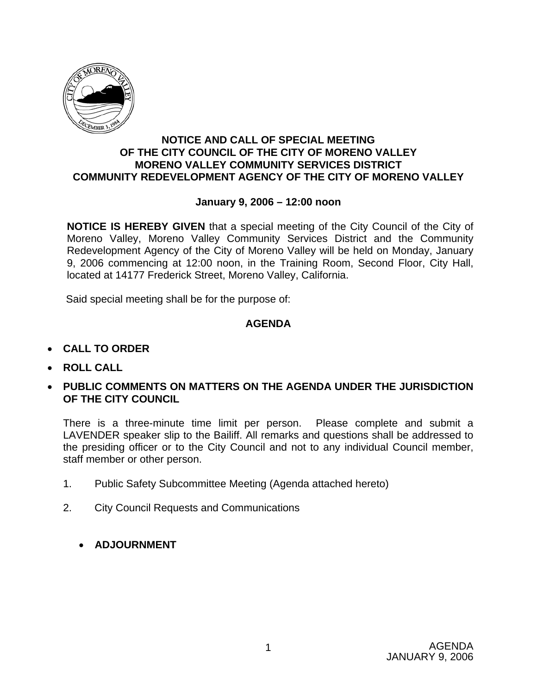

### **NOTICE AND CALL OF SPECIAL MEETING OF THE CITY COUNCIL OF THE CITY OF MORENO VALLEY MORENO VALLEY COMMUNITY SERVICES DISTRICT COMMUNITY REDEVELOPMENT AGENCY OF THE CITY OF MORENO VALLEY**

### **January 9, 2006 – 12:00 noon**

**NOTICE IS HEREBY GIVEN** that a special meeting of the City Council of the City of Moreno Valley, Moreno Valley Community Services District and the Community Redevelopment Agency of the City of Moreno Valley will be held on Monday, January 9, 2006 commencing at 12:00 noon, in the Training Room, Second Floor, City Hall, located at 14177 Frederick Street, Moreno Valley, California.

Said special meeting shall be for the purpose of:

### **AGENDA**

- **CALL TO ORDER**
- **ROLL CALL**
- **PUBLIC COMMENTS ON MATTERS ON THE AGENDA UNDER THE JURISDICTION OF THE CITY COUNCIL**

There is a three-minute time limit per person. Please complete and submit a LAVENDER speaker slip to the Bailiff. All remarks and questions shall be addressed to the presiding officer or to the City Council and not to any individual Council member, staff member or other person.

- 1. Public Safety Subcommittee Meeting (Agenda attached hereto)
- 2. City Council Requests and Communications
	- **ADJOURNMENT**